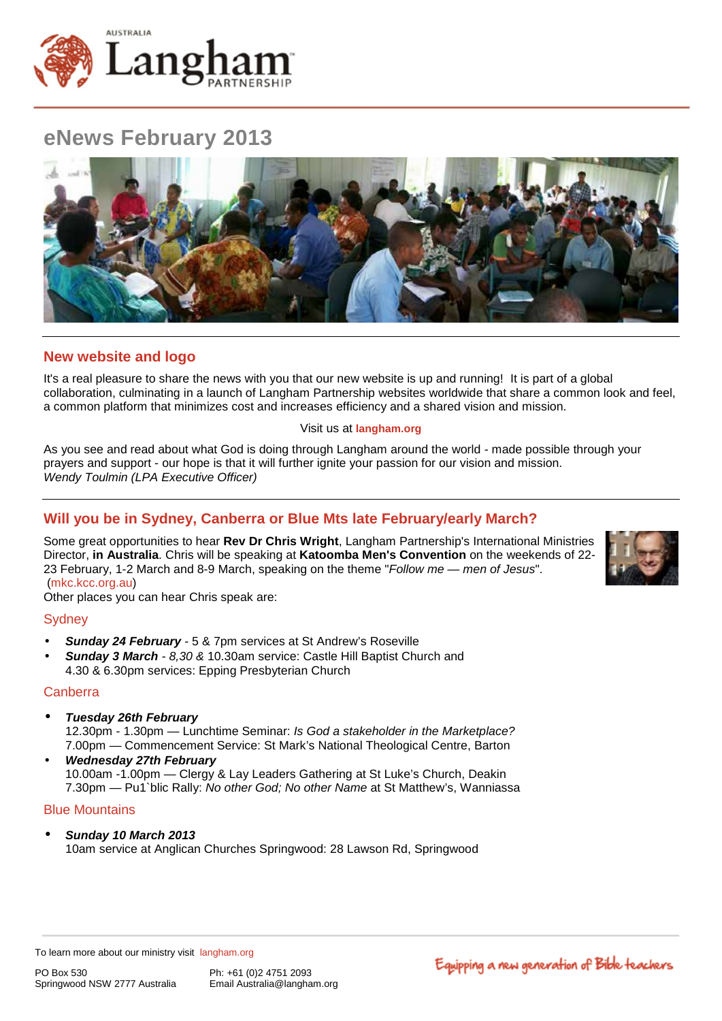

# **eNews February 2013**



## **New website and logo**

It's a real pleasure to share the news with you that our new website is up and running! It is part of a global collaboration, culminating in a launch of Langham Partnership websites worldwide that share a common look and feel, a common platform that minimizes cost and increases efficiency and a shared vision and mission.

### Visit us at **[langham.org](http://langham.org/)**

As you see and read about what God is doing through Langham around the world - made possible through your prayers and support - our hope is that it will further ignite your passion for our vision and mission. *Wendy Toulmin (LPA Executive Officer)*

## **Will you be in Sydney, Canberra or Blue Mts late February/early March?**

Some great opportunities to hear **Rev Dr Chris Wright**, Langham Partnership's International Ministries Director, **in Australia**. Chris will be speaking at **Katoomba Men's Convention** on the weekends of 22- 23 February, 1-2 March and 8-9 March, speaking on the theme "*Follow me — men of Jesus*". [\(mkc.kcc.org.au\)](http://mkc.kcc.org.au/)

Other places you can hear Chris speak are:

## **Sydney**

- *Sunday 24 February -* 5 & 7pm services at [St Andrew's Roseville](http://standrews.net.au/)
- *Sunday 3 March - 8,30 &* 10.30am service: [Castle Hill Baptist Church](http://www.castlehillbaptist.com.au/) and 4.30 & 6.30pm services: [Epping Presbyterian Church](http://www.eppingpresbyterian.org.au/)

## **Canberra**

- *Tuesday 26th February*  12.30pm - 1.30pm — Lunchtime Seminar: *Is God a stakeholder in the Marketplace?* 7.00pm — Commencement Service: St Mark's National Theological Centre, Barton
- *Wednesday 27th February*  10.00am -1.00pm — Clergy & Lay Leaders Gathering at St Luke's Church, Deakin 7.30pm — Pu1`blic Rally: *No other God; No other Name* at [St Matthew's, Wanniassa](http://www.stmattswanniassa.org.au/)

## Blue Mountains

*Sunday 10 March 2013* 10am service at [Anglican Churches Springwood:](http://springwoodanglican.org.au/) 28 Lawson Rd, Springwood

To learn more about our ministry visit [langham.org](http://langham.org/)